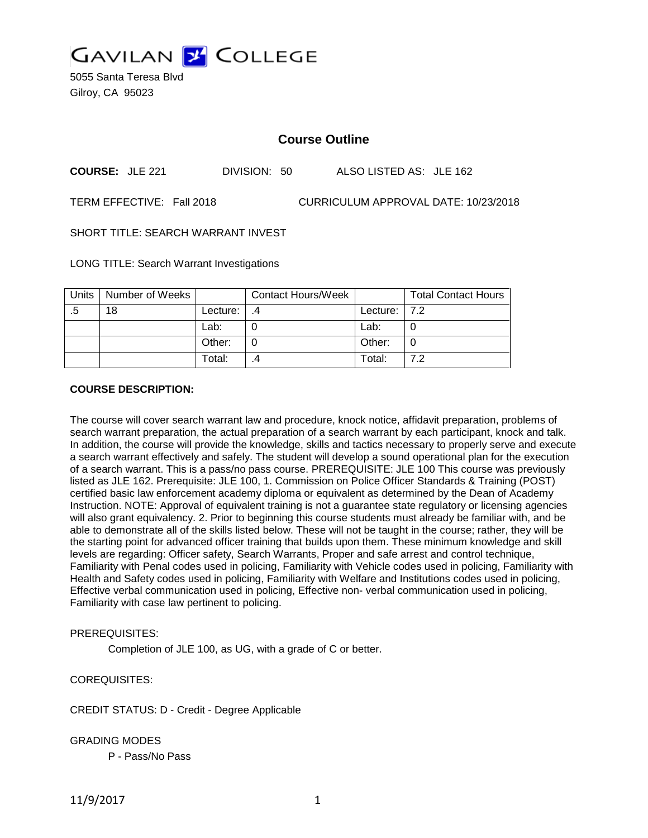

5055 Santa Teresa Blvd Gilroy, CA 95023

# **Course Outline**

**COURSE:** JLE 221 DIVISION: 50 ALSO LISTED AS: JLE 162

TERM EFFECTIVE: Fall 2018 CURRICULUM APPROVAL DATE: 10/23/2018

SHORT TITLE: SEARCH WARRANT INVEST

LONG TITLE: Search Warrant Investigations

| <b>Units</b> | Number of Weeks |          | <b>Contact Hours/Week</b> |                  | <b>Total Contact Hours</b> |
|--------------|-----------------|----------|---------------------------|------------------|----------------------------|
| .5           | 18              | Lecture: |                           | Lecture: $ 7.2 $ |                            |
|              |                 | Lab:     |                           | Lab:             |                            |
|              |                 | Other:   |                           | Other:           |                            |
|              |                 | Total:   |                           | Total:           | 72                         |

#### **COURSE DESCRIPTION:**

The course will cover search warrant law and procedure, knock notice, affidavit preparation, problems of search warrant preparation, the actual preparation of a search warrant by each participant, knock and talk. In addition, the course will provide the knowledge, skills and tactics necessary to properly serve and execute a search warrant effectively and safely. The student will develop a sound operational plan for the execution of a search warrant. This is a pass/no pass course. PREREQUISITE: JLE 100 This course was previously listed as JLE 162. Prerequisite: JLE 100, 1. Commission on Police Officer Standards & Training (POST) certified basic law enforcement academy diploma or equivalent as determined by the Dean of Academy Instruction. NOTE: Approval of equivalent training is not a guarantee state regulatory or licensing agencies will also grant equivalency. 2. Prior to beginning this course students must already be familiar with, and be able to demonstrate all of the skills listed below. These will not be taught in the course; rather, they will be the starting point for advanced officer training that builds upon them. These minimum knowledge and skill levels are regarding: Officer safety, Search Warrants, Proper and safe arrest and control technique, Familiarity with Penal codes used in policing, Familiarity with Vehicle codes used in policing, Familiarity with Health and Safety codes used in policing, Familiarity with Welfare and Institutions codes used in policing, Effective verbal communication used in policing, Effective non- verbal communication used in policing, Familiarity with case law pertinent to policing.

## PREREQUISITES:

Completion of JLE 100, as UG, with a grade of C or better.

COREQUISITES:

CREDIT STATUS: D - Credit - Degree Applicable

GRADING MODES

P - Pass/No Pass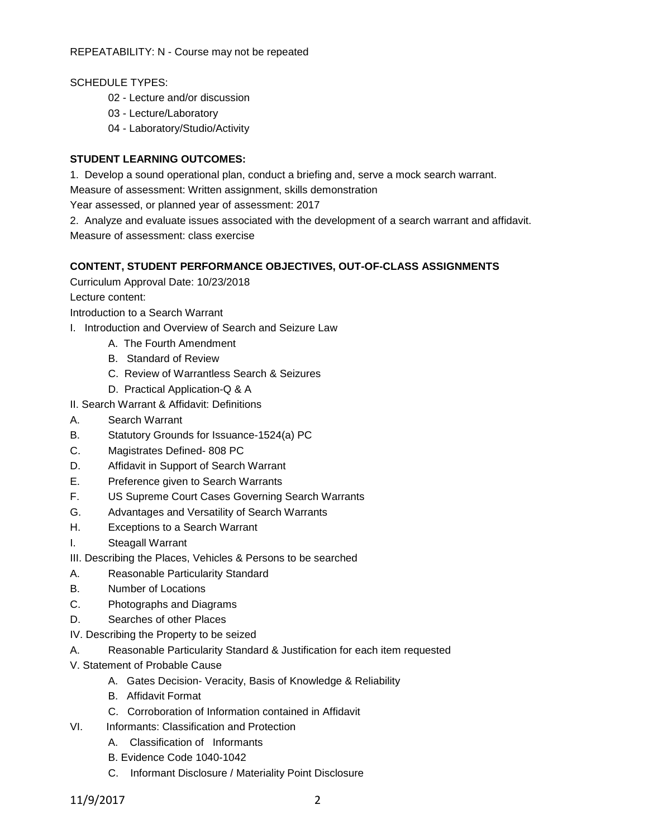SCHEDULE TYPES:

- 02 Lecture and/or discussion
- 03 Lecture/Laboratory
- 04 Laboratory/Studio/Activity

## **STUDENT LEARNING OUTCOMES:**

1. Develop a sound operational plan, conduct a briefing and, serve a mock search warrant.

Measure of assessment: Written assignment, skills demonstration

Year assessed, or planned year of assessment: 2017

2. Analyze and evaluate issues associated with the development of a search warrant and affidavit. Measure of assessment: class exercise

## **CONTENT, STUDENT PERFORMANCE OBJECTIVES, OUT-OF-CLASS ASSIGNMENTS**

Curriculum Approval Date: 10/23/2018

Lecture content:

Introduction to a Search Warrant

- I. Introduction and Overview of Search and Seizure Law
	- A. The Fourth Amendment
	- B. Standard of Review
	- C. Review of Warrantless Search & Seizures
	- D. Practical Application-Q & A
- II. Search Warrant & Affidavit: Definitions
- A. Search Warrant
- B. Statutory Grounds for Issuance-1524(a) PC
- C. Magistrates Defined- 808 PC
- D. Affidavit in Support of Search Warrant
- E. Preference given to Search Warrants
- F. US Supreme Court Cases Governing Search Warrants
- G. Advantages and Versatility of Search Warrants
- H. Exceptions to a Search Warrant
- I. Steagall Warrant
- III. Describing the Places, Vehicles & Persons to be searched
- A. Reasonable Particularity Standard
- B. Number of Locations
- C. Photographs and Diagrams
- D. Searches of other Places
- IV. Describing the Property to be seized
- A. Reasonable Particularity Standard & Justification for each item requested
- V. Statement of Probable Cause
	- A. Gates Decision- Veracity, Basis of Knowledge & Reliability
	- B. Affidavit Format
	- C. Corroboration of Information contained in Affidavit
- VI. Informants: Classification and Protection
	- A. Classification of Informants
	- B. Evidence Code 1040-1042
	- C. Informant Disclosure / Materiality Point Disclosure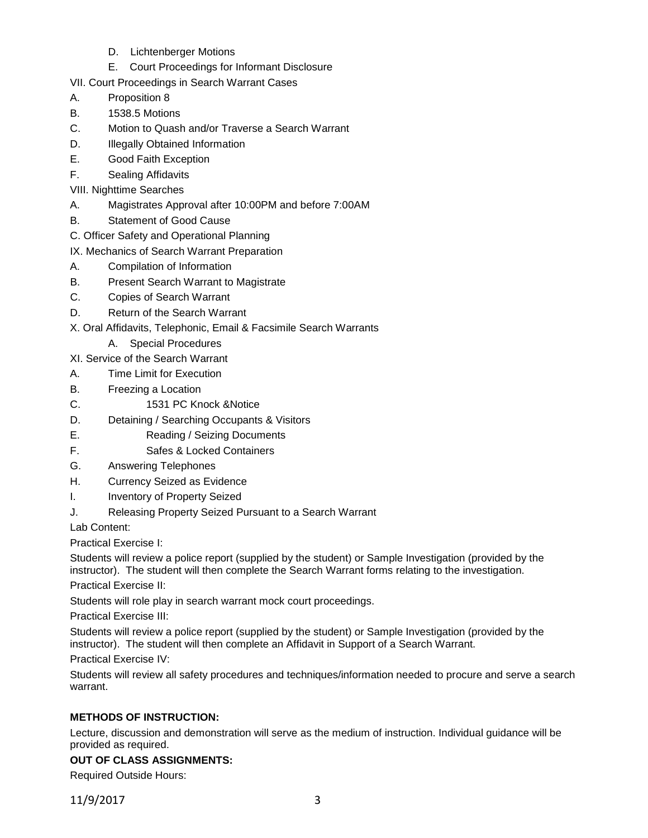- D. Lichtenberger Motions
- E. Court Proceedings for Informant Disclosure
- VII. Court Proceedings in Search Warrant Cases
- A. Proposition 8
- B. 1538.5 Motions
- C. Motion to Quash and/or Traverse a Search Warrant
- D. **Illegally Obtained Information**
- E. Good Faith Exception
- F. Sealing Affidavits
- VIII. Nighttime Searches
- A. Magistrates Approval after 10:00PM and before 7:00AM
- B. Statement of Good Cause
- C. Officer Safety and Operational Planning
- IX. Mechanics of Search Warrant Preparation
- A. Compilation of Information
- B. Present Search Warrant to Magistrate
- C. Copies of Search Warrant
- D. Return of the Search Warrant
- X. Oral Affidavits, Telephonic, Email & Facsimile Search Warrants
	- A. Special Procedures
- XI. Service of the Search Warrant
- A. Time Limit for Execution
- B. Freezing a Location
- C. 1531 PC Knock &Notice
- D. Detaining / Searching Occupants & Visitors
- E. Reading / Seizing Documents
- F. Safes & Locked Containers
- G. Answering Telephones
- H. Currency Seized as Evidence
- I. Inventory of Property Seized
- J. Releasing Property Seized Pursuant to a Search Warrant

Lab Content:

Practical Exercise I:

Students will review a police report (supplied by the student) or Sample Investigation (provided by the instructor). The student will then complete the Search Warrant forms relating to the investigation.

Practical Exercise II:

Students will role play in search warrant mock court proceedings.

Practical Exercise III:

Students will review a police report (supplied by the student) or Sample Investigation (provided by the instructor). The student will then complete an Affidavit in Support of a Search Warrant.

Practical Exercise IV:

Students will review all safety procedures and techniques/information needed to procure and serve a search warrant.

## **METHODS OF INSTRUCTION:**

Lecture, discussion and demonstration will serve as the medium of instruction. Individual guidance will be provided as required.

## **OUT OF CLASS ASSIGNMENTS:**

Required Outside Hours: